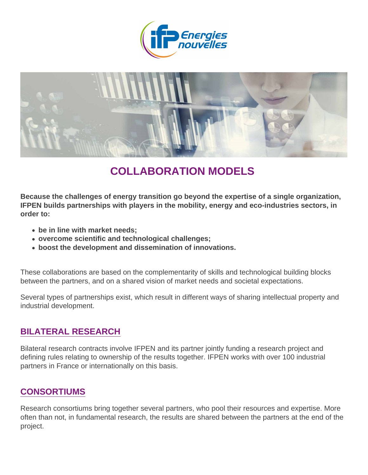# COLLABORATION MODELS

Because the challenges of energy transition go beyond the expertise of a single organization, IFPEN builds partnerships with players in the mobility, energy and eco-industries sectors, in order to :

- be in line with market needs
- overcome scientific and technological challenges;
- boost the development and dissemination of innovations.

These collaborations are based on the complementarity of skills and technological building blocks between the partners, and on a shared vision of market needs and societal expectations.

Several types of partnerships exist, which result in different ways of sharing intellectual property and industrial development.

#### BILATERAL RESEARCH

Bilateral research contracts involve IFPEN and its partner jointly funding a research project and defining rules relating to ownership of the results together. IFPEN works with over 100 industrial partners in France or internationally on this basis.

#### CONSORTIUMS

Research consortiums bring together several partners, who pool their resources and expertise. More often than not, in fundamental research, the results are shared between the partners at the end of the project.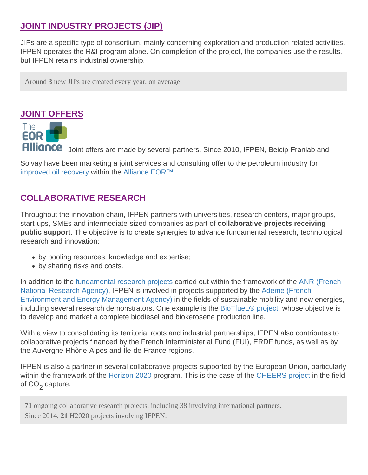#### JOINT INDUSTRY PROJECTS (JIP)

JIPs are a specific type of consortium, mainly concerning exploration and production-related activities. IFPEN operates the R&I program alone. On completion of the project, the companies use the results, but IFPEN retains industrial ownership. .

Around 3 new JIPs are created every year, on average.

#### JOINT OFFERS

Joint offers are made by several partners. Since 2010, IFPEN, Beicip-Franlab and

Solvay have been marketing a joint services and consulting offer to the petroleum industry for [improved oil recovery](https://www.ifpenergiesnouvelles.com/innovation-and-industry/our-expertise/responsible-oil-and-gas/enhanced-oil-recovery-eor) within the [Alliance EOR™.](https://www.eor-alliance.com/)

#### COLLABORATIVE RESEARCH

Throughout the innovation chain, IFPEN partners with universities, research centers, major groups, start-ups, SMEs and intermediate-sized companies as part of collaborative projects receiving public support . The objective is to create synergies to advance fundamental research, technological research and innovation:

- by pooling resources, knowledge and expertise;
- by sharing risks and costs.

In addition to the [fundamental research projects](https://www.ifpenergiesnouvelles.com/fundamental-research/openness-and-partnerships/collaborative-fundamental-research-projects) carried out within the framework of the [ANR \(French](https://www.agence-nationale-recherche.fr/) [National Research Agency\)](https://www.agence-nationale-recherche.fr/), IFPEN is involved in projects supported by the [Ademe \(French](https://www.ademe.fr) [Environment and Energy Management Agency\)](https://www.ademe.fr) in the fields of sustainable mobility and new energies, including several research demonstrators. One example is the [BioTfueL® project](https://www.ifpenergiesnouvelles.com/innovation-and-industry/our-expertise/renewable-energies/biofuels/our-solutions#BioTfueL), whose objective is to develop and market a complete biodiesel and biokerosene production line.

With a view to consolidating its territorial roots and industrial partnerships, IFPEN also contributes to collaborative projects financed by the French Interministerial Fund (FUI), ERDF funds, as well as by the Auvergne-Rhône-Alpes and Île-de-France regions.

IFPEN is also a partner in several collaborative projects supported by the European Union, particularly within the framework of the [Horizon 2020](http://www.horizon2020.gouv.fr) program. This is the case of the [CHEERS project](https://www.ifpenergiesnouvelles.com/innovation-and-industry/our-expertise/climate-and-environment/co2-capture-storage-and-use/our-solutions) in the field of CO<sub>2</sub> capture.

71 ongoing collaborative research projects, including 38 involving international partners. Since 201421 H2020 projects involving IFPEN.